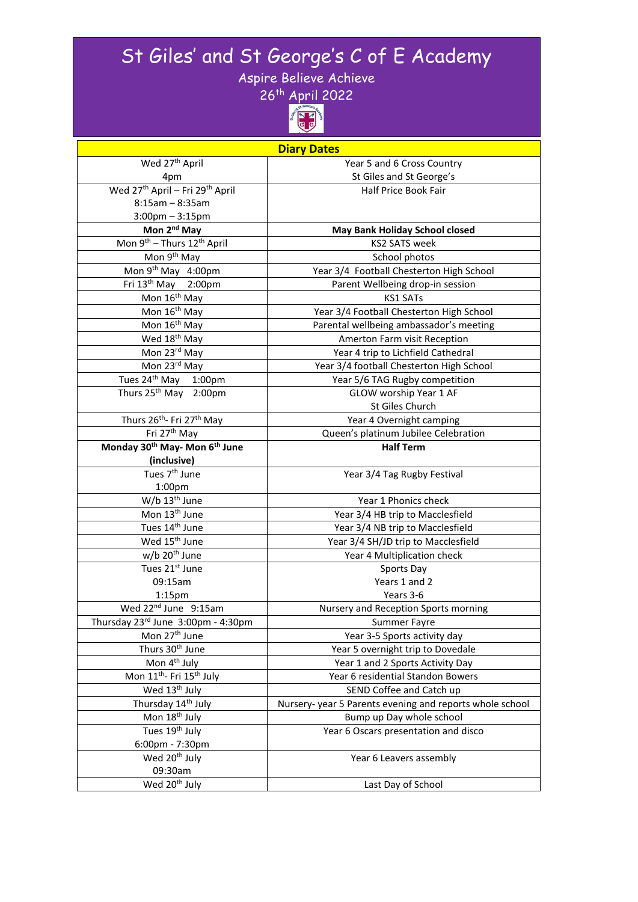# St Giles' and St George's C of E Academy

Aspire Believe Achieve



| <b>Diary Dates</b>                                      |                                                         |  |  |
|---------------------------------------------------------|---------------------------------------------------------|--|--|
| Wed 27 <sup>th</sup> April                              | Year 5 and 6 Cross Country                              |  |  |
| 4pm                                                     | St Giles and St George's                                |  |  |
| Wed 27 <sup>th</sup> April - Fri 29 <sup>th</sup> April | <b>Half Price Book Fair</b>                             |  |  |
| $8:15am - 8:35am$                                       |                                                         |  |  |
| $3:00$ pm $-3:15$ pm                                    |                                                         |  |  |
| Mon 2 <sup>nd</sup> May                                 | <b>May Bank Holiday School closed</b>                   |  |  |
| Mon 9 <sup>th</sup> - Thurs 12 <sup>th</sup> April      | <b>KS2 SATS week</b>                                    |  |  |
| Mon 9 <sup>th</sup> May                                 | School photos                                           |  |  |
| Mon 9th May 4:00pm                                      | Year 3/4 Football Chesterton High School                |  |  |
| Fri 13th May 2:00pm                                     | Parent Wellbeing drop-in session                        |  |  |
| Mon 16 <sup>th</sup> May                                | <b>KS1 SATs</b>                                         |  |  |
| Mon 16 <sup>th</sup> May                                | Year 3/4 Football Chesterton High School                |  |  |
| Mon 16 <sup>th</sup> May                                | Parental wellbeing ambassador's meeting                 |  |  |
| Wed 18 <sup>th</sup> May                                | Amerton Farm visit Reception                            |  |  |
| Mon 23rd May                                            | Year 4 trip to Lichfield Cathedral                      |  |  |
| Mon 23rd May                                            | Year 3/4 football Chesterton High School                |  |  |
| Tues 24 <sup>th</sup> May 1:00pm                        | Year 5/6 TAG Rugby competition                          |  |  |
| Thurs 25 <sup>th</sup> May 2:00pm                       | GLOW worship Year 1 AF                                  |  |  |
|                                                         | St Giles Church                                         |  |  |
| Thurs 26 <sup>th</sup> - Fri 27 <sup>th</sup> May       | Year 4 Overnight camping                                |  |  |
| Fri 27 <sup>th</sup> May                                | Queen's platinum Jubilee Celebration                    |  |  |
| Monday 30 <sup>th</sup> May- Mon 6 <sup>th</sup> June   | <b>Half Term</b>                                        |  |  |
| (inclusive)                                             |                                                         |  |  |
| Tues 7 <sup>th</sup> June                               | Year 3/4 Tag Rugby Festival                             |  |  |
| 1:00 <sub>pm</sub>                                      |                                                         |  |  |
| $W/b$ 13 <sup>th</sup> June                             | Year 1 Phonics check                                    |  |  |
| Mon 13 <sup>th</sup> June                               | Year 3/4 HB trip to Macclesfield                        |  |  |
| Tues 14 <sup>th</sup> June                              | Year 3/4 NB trip to Macclesfield                        |  |  |
| Wed 15 <sup>th</sup> June                               | Year 3/4 SH/JD trip to Macclesfield                     |  |  |
| w/b 20 <sup>th</sup> June                               | Year 4 Multiplication check                             |  |  |
| Tues 21st June                                          | Sports Day                                              |  |  |
| 09:15am                                                 | Years 1 and 2                                           |  |  |
| $1:15$ pm                                               | Years 3-6                                               |  |  |
| Wed 22 <sup>nd</sup> June 9:15am                        | Nursery and Reception Sports morning                    |  |  |
| Thursday 23rd June 3:00pm - 4:30pm                      | Summer Fayre                                            |  |  |
| Mon 27 <sup>th</sup> June                               | Year 3-5 Sports activity day                            |  |  |
| Thurs 30 <sup>th</sup> June                             | Year 5 overnight trip to Dovedale                       |  |  |
| Mon 4 <sup>th</sup> July                                | Year 1 and 2 Sports Activity Day                        |  |  |
| Mon 11 <sup>th</sup> - Fri 15 <sup>th</sup> July        | Year 6 residential Standon Bowers                       |  |  |
| Wed 13 <sup>th</sup> July                               | SEND Coffee and Catch up                                |  |  |
| Thursday 14 <sup>th</sup> July                          | Nursery-year 5 Parents evening and reports whole school |  |  |
| Mon 18 <sup>th</sup> July                               | Bump up Day whole school                                |  |  |
| Tues 19 <sup>th</sup> July                              | Year 6 Oscars presentation and disco                    |  |  |
| 6:00pm - 7:30pm                                         |                                                         |  |  |
| Wed 20 <sup>th</sup> July                               | Year 6 Leavers assembly                                 |  |  |
| 09:30am                                                 |                                                         |  |  |
| Wed 20 <sup>th</sup> July                               | Last Day of School                                      |  |  |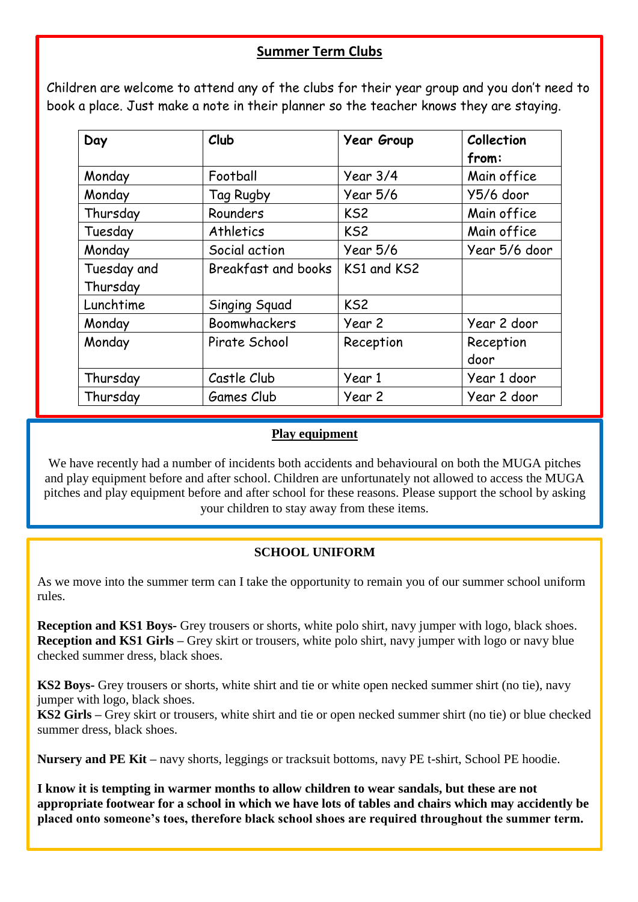### **Summer Term Clubs**

 Children are welcome to attend any of the clubs for their year group and you don't need to book a place. Just make a note in their planner so the teacher knows they are staying.

| Day         | Club                | <b>Year Group</b> | Collection<br>from: |
|-------------|---------------------|-------------------|---------------------|
| Monday      | Football            | Year $3/4$        | Main office         |
| Monday      | Tag Rugby           | Year 5/6          | Y5/6 door           |
| Thursday    | Rounders            | KS <sub>2</sub>   | Main office         |
| Tuesday     | Athletics           | KS <sub>2</sub>   | Main office         |
| Monday      | Social action       | Year 5/6          | Year 5/6 door       |
| Tuesday and | Breakfast and books | KS1 and KS2       |                     |
| Thursday    |                     |                   |                     |
| Lunchtime   | Singing Squad       | KS <sub>2</sub>   |                     |
| Monday      | <b>Boomwhackers</b> | Year 2            | Year 2 door         |
| Monday      | Pirate School       | Reception         | Reception<br>door   |
| Thursday    | Castle Club         | Year 1            | Year 1 door         |
| Thursday    | Games Club          | Year 2            | Year 2 door         |

#### **Play equipment**

We have recently had a number of incidents both accidents and behavioural on both the MUGA pitches and play equipment before and after school. Children are unfortunately not allowed to access the MUGA pitches and play equipment before and after school for these reasons. Please support the school by asking your children to stay away from these items.

#### **SCHOOL UNIFORM**

As we move into the summer term can I take the opportunity to remain you of our summer school uniform rules.

**Reception and KS1 Boys-** Grey trousers or shorts, white polo shirt, navy jumper with logo, black shoes. **Reception and KS1 Girls –** Grey skirt or trousers, white polo shirt, navy jumper with logo or navy blue checked summer dress, black shoes.

**KS2 Boys-** Grey trousers or shorts, white shirt and tie or white open necked summer shirt (no tie), navy jumper with logo, black shoes.

**KS2 Girls –** Grey skirt or trousers, white shirt and tie or open necked summer shirt (no tie) or blue checked summer dress, black shoes.

**Nursery and PE Kit –** navy shorts, leggings or tracksuit bottoms, navy PE t-shirt, School PE hoodie.

**I know it is tempting in warmer months to allow children to wear sandals, but these are not appropriate footwear for a school in which we have lots of tables and chairs which may accidently be placed onto someone's toes, therefore black school shoes are required throughout the summer term.**